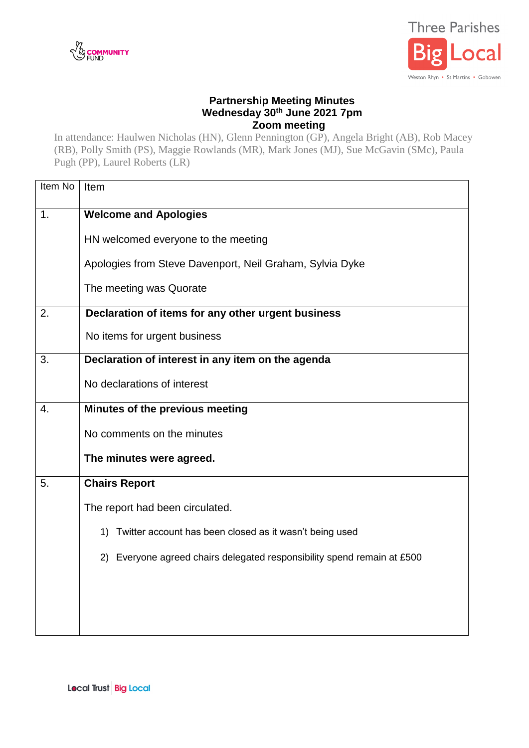



## **Partnership Meeting Minutes Wednesday 30th June 2021 7pm Zoom meeting**

In attendance: Haulwen Nicholas (HN), Glenn Pennington (GP), Angela Bright (AB), Rob Macey (RB), Polly Smith (PS), Maggie Rowlands (MR), Mark Jones (MJ), Sue McGavin (SMc), Paula Pugh (PP), Laurel Roberts (LR)

| Item No          | Item                                                                    |  |  |
|------------------|-------------------------------------------------------------------------|--|--|
| 1.               | <b>Welcome and Apologies</b>                                            |  |  |
|                  | HN welcomed everyone to the meeting                                     |  |  |
|                  | Apologies from Steve Davenport, Neil Graham, Sylvia Dyke                |  |  |
|                  | The meeting was Quorate                                                 |  |  |
| 2.               | Declaration of items for any other urgent business                      |  |  |
|                  | No items for urgent business                                            |  |  |
| 3.               | Declaration of interest in any item on the agenda                       |  |  |
|                  | No declarations of interest                                             |  |  |
| $\overline{4}$ . | Minutes of the previous meeting                                         |  |  |
|                  | No comments on the minutes                                              |  |  |
|                  | The minutes were agreed.                                                |  |  |
| 5.               | <b>Chairs Report</b>                                                    |  |  |
|                  | The report had been circulated.                                         |  |  |
|                  | 1) Twitter account has been closed as it wasn't being used              |  |  |
|                  | 2) Everyone agreed chairs delegated responsibility spend remain at £500 |  |  |
|                  |                                                                         |  |  |
|                  |                                                                         |  |  |
|                  |                                                                         |  |  |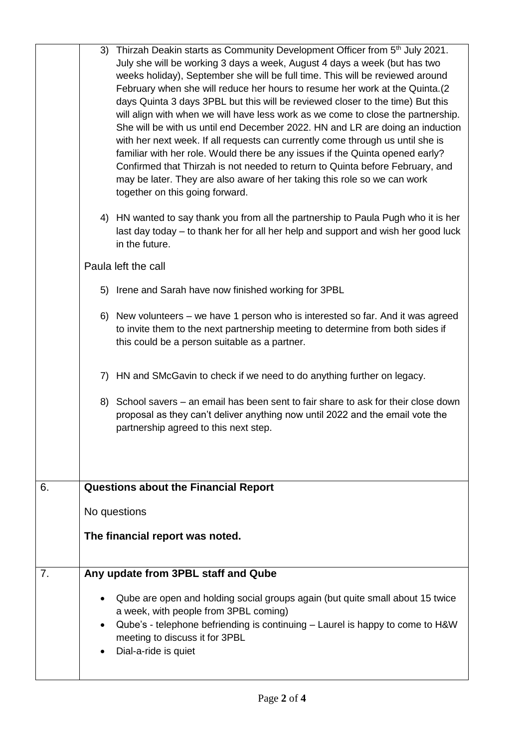|    |           | 3) Thirzah Deakin starts as Community Development Officer from 5th July 2021.<br>July she will be working 3 days a week, August 4 days a week (but has two<br>weeks holiday), September she will be full time. This will be reviewed around<br>February when she will reduce her hours to resume her work at the Quinta.(2<br>days Quinta 3 days 3PBL but this will be reviewed closer to the time) But this<br>will align with when we will have less work as we come to close the partnership.<br>She will be with us until end December 2022. HN and LR are doing an induction<br>with her next week. If all requests can currently come through us until she is<br>familiar with her role. Would there be any issues if the Quinta opened early?<br>Confirmed that Thirzah is not needed to return to Quinta before February, and<br>may be later. They are also aware of her taking this role so we can work<br>together on this going forward. |
|----|-----------|------------------------------------------------------------------------------------------------------------------------------------------------------------------------------------------------------------------------------------------------------------------------------------------------------------------------------------------------------------------------------------------------------------------------------------------------------------------------------------------------------------------------------------------------------------------------------------------------------------------------------------------------------------------------------------------------------------------------------------------------------------------------------------------------------------------------------------------------------------------------------------------------------------------------------------------------------|
|    |           | 4) HN wanted to say thank you from all the partnership to Paula Pugh who it is her<br>last day today – to thank her for all her help and support and wish her good luck<br>in the future.                                                                                                                                                                                                                                                                                                                                                                                                                                                                                                                                                                                                                                                                                                                                                            |
|    |           | Paula left the call                                                                                                                                                                                                                                                                                                                                                                                                                                                                                                                                                                                                                                                                                                                                                                                                                                                                                                                                  |
|    |           | 5) Irene and Sarah have now finished working for 3PBL                                                                                                                                                                                                                                                                                                                                                                                                                                                                                                                                                                                                                                                                                                                                                                                                                                                                                                |
|    |           | 6) New volunteers – we have 1 person who is interested so far. And it was agreed<br>to invite them to the next partnership meeting to determine from both sides if<br>this could be a person suitable as a partner.                                                                                                                                                                                                                                                                                                                                                                                                                                                                                                                                                                                                                                                                                                                                  |
|    |           | 7) HN and SMcGavin to check if we need to do anything further on legacy.                                                                                                                                                                                                                                                                                                                                                                                                                                                                                                                                                                                                                                                                                                                                                                                                                                                                             |
|    |           | 8) School savers – an email has been sent to fair share to ask for their close down<br>proposal as they can't deliver anything now until 2022 and the email vote the<br>partnership agreed to this next step.                                                                                                                                                                                                                                                                                                                                                                                                                                                                                                                                                                                                                                                                                                                                        |
| 6. |           | <b>Questions about the Financial Report</b>                                                                                                                                                                                                                                                                                                                                                                                                                                                                                                                                                                                                                                                                                                                                                                                                                                                                                                          |
|    |           | No questions                                                                                                                                                                                                                                                                                                                                                                                                                                                                                                                                                                                                                                                                                                                                                                                                                                                                                                                                         |
|    |           | The financial report was noted.                                                                                                                                                                                                                                                                                                                                                                                                                                                                                                                                                                                                                                                                                                                                                                                                                                                                                                                      |
|    |           |                                                                                                                                                                                                                                                                                                                                                                                                                                                                                                                                                                                                                                                                                                                                                                                                                                                                                                                                                      |
| 7. |           | Any update from 3PBL staff and Qube                                                                                                                                                                                                                                                                                                                                                                                                                                                                                                                                                                                                                                                                                                                                                                                                                                                                                                                  |
|    | $\bullet$ | Qube are open and holding social groups again (but quite small about 15 twice<br>a week, with people from 3PBL coming)<br>Qube's - telephone befriending is continuing - Laurel is happy to come to H&W<br>meeting to discuss it for 3PBL<br>Dial-a-ride is quiet                                                                                                                                                                                                                                                                                                                                                                                                                                                                                                                                                                                                                                                                                    |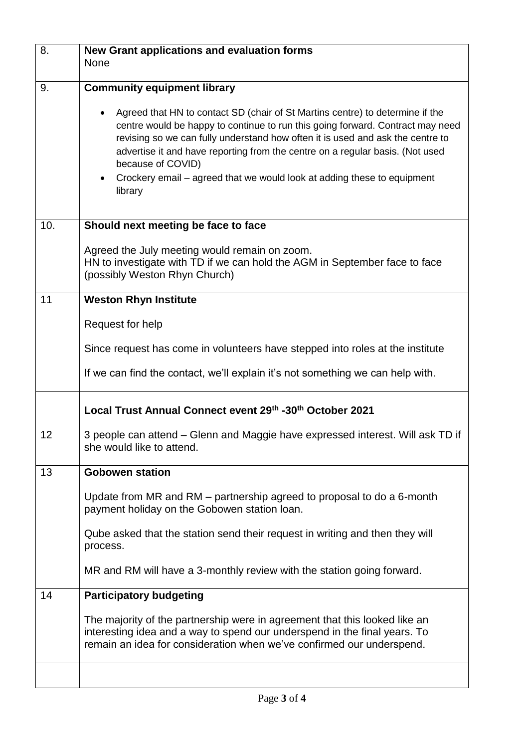| 8.  | New Grant applications and evaluation forms<br><b>None</b>                                                                                                                                                                                                                                                                                                                                                                                                 |  |  |
|-----|------------------------------------------------------------------------------------------------------------------------------------------------------------------------------------------------------------------------------------------------------------------------------------------------------------------------------------------------------------------------------------------------------------------------------------------------------------|--|--|
| 9.  | <b>Community equipment library</b>                                                                                                                                                                                                                                                                                                                                                                                                                         |  |  |
|     | Agreed that HN to contact SD (chair of St Martins centre) to determine if the<br>centre would be happy to continue to run this going forward. Contract may need<br>revising so we can fully understand how often it is used and ask the centre to<br>advertise it and have reporting from the centre on a regular basis. (Not used<br>because of COVID)<br>Crockery email – agreed that we would look at adding these to equipment<br>$\bullet$<br>library |  |  |
| 10. | Should next meeting be face to face                                                                                                                                                                                                                                                                                                                                                                                                                        |  |  |
|     | Agreed the July meeting would remain on zoom.<br>HN to investigate with TD if we can hold the AGM in September face to face<br>(possibly Weston Rhyn Church)                                                                                                                                                                                                                                                                                               |  |  |
| 11  | <b>Weston Rhyn Institute</b>                                                                                                                                                                                                                                                                                                                                                                                                                               |  |  |
|     | Request for help                                                                                                                                                                                                                                                                                                                                                                                                                                           |  |  |
|     | Since request has come in volunteers have stepped into roles at the institute                                                                                                                                                                                                                                                                                                                                                                              |  |  |
|     | If we can find the contact, we'll explain it's not something we can help with.                                                                                                                                                                                                                                                                                                                                                                             |  |  |
|     | Local Trust Annual Connect event 29th -30th October 2021                                                                                                                                                                                                                                                                                                                                                                                                   |  |  |
| 12  | 3 people can attend - Glenn and Maggie have expressed interest. Will ask TD if<br>she would like to attend.                                                                                                                                                                                                                                                                                                                                                |  |  |
| 13  | <b>Gobowen station</b>                                                                                                                                                                                                                                                                                                                                                                                                                                     |  |  |
|     | Update from MR and RM - partnership agreed to proposal to do a 6-month<br>payment holiday on the Gobowen station loan.                                                                                                                                                                                                                                                                                                                                     |  |  |
|     | Qube asked that the station send their request in writing and then they will<br>process.                                                                                                                                                                                                                                                                                                                                                                   |  |  |
|     | MR and RM will have a 3-monthly review with the station going forward.                                                                                                                                                                                                                                                                                                                                                                                     |  |  |
| 14  | <b>Participatory budgeting</b>                                                                                                                                                                                                                                                                                                                                                                                                                             |  |  |
|     | The majority of the partnership were in agreement that this looked like an<br>interesting idea and a way to spend our underspend in the final years. To<br>remain an idea for consideration when we've confirmed our underspend.                                                                                                                                                                                                                           |  |  |
|     |                                                                                                                                                                                                                                                                                                                                                                                                                                                            |  |  |